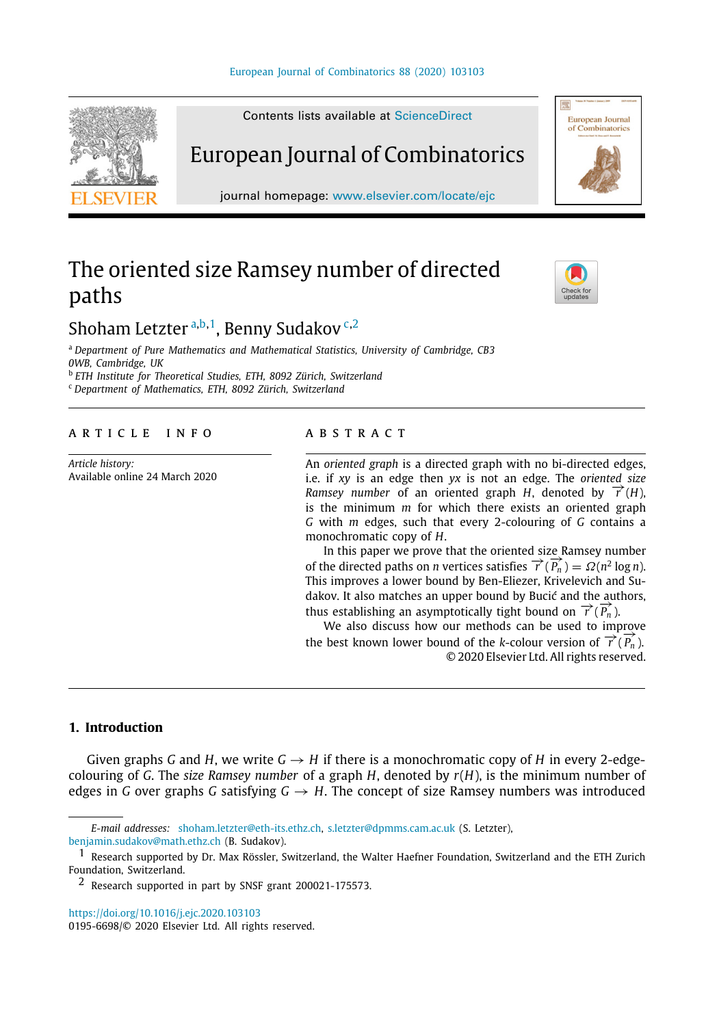#### [European Journal of Combinatorics 88 \(2020\) 103103](https://doi.org/10.1016/j.ejc.2020.103103)

<span id="page-0-5"></span>

Contents lists available at [ScienceDirect](http://www.elsevier.com/locate/ejc)

## European Journal of Combinatorics

journal homepage: [www.elsevier.com/locate/ejc](http://www.elsevier.com/locate/ejc)

# The oriented size Ramsey number of directed paths



European Journal<br>of Combinatorics

## Shoh[a](#page-0-0)m Letzter <sup>a,[b](#page-0-1),[1](#page-0-2)</sup>, Benny Sudakov <sup>[c](#page-0-3),[2](#page-0-4)</sup>

<span id="page-0-0"></span><sup>a</sup> *Department of Pure Mathematics and Mathematical Statistics, University of Cambridge, CB3 0WB, Cambridge, UK*

<span id="page-0-1"></span>b *ETH Institute for Theoretical Studies, ETH, 8092 Zürich, Switzerland*

<span id="page-0-3"></span><sup>c</sup> *Department of Mathematics, ETH, 8092 Zürich, Switzerland*

### a r t i c l e i n f o

*Article history:* Available online 24 March 2020

#### A B S T R A C T

An *oriented graph* is a directed graph with no bi-directed edges, i.e. if *xy* is an edge then *yx* is not an edge. The *oriented size Ramsey number* of an oriented graph *H*, denoted by  $\vec{\tau}$  (*H*), is the minimum *m* for which there exists an oriented graph *G* with *m* edges, such that every 2-colouring of *G* contains a monochromatic copy of *H*.

In this paper we prove that the oriented size Ramsey number of the directed paths on *n* vertices satisfies  $\overrightarrow{r}(\overrightarrow{P_n}) = \Omega(n^2 \log n)$ . This improves a lower bound by Ben-Eliezer, Krivelevich and Sudakov. It also matches an upper bound by Bucić and the authors, thus establishing an asymptotically tight bound on  $\overrightarrow{r}(\overrightarrow{P_n})$ .

We also discuss how our methods can be used to improve the best known lower bound of the *k*-colour version of  $\vec{\tau}(\vec{P}_n)$ . © 2020 Elsevier Ltd. All rights reserved.

## **1. Introduction**

Given graphs *G* and *H*, we write  $G \rightarrow H$  if there is a monochromatic copy of *H* in every 2-edgecolouring of *G*. The *size Ramsey number* of a graph *H*, denoted by *r*(*H*), is the minimum number of edges in *G* over graphs *G* satisfying  $G \rightarrow H$ . The concept of size Ramsey numbers was introduced

*E-mail addresses:* [shoham.letzter@eth-its.ethz.ch,](mailto:shoham.letzter@eth-its.ethz.ch) [s.letzter@dpmms.cam.ac.uk](mailto:s.letzter@dpmms.cam.ac.uk) (S. Letzter),

[benjamin.sudakov@math.ethz.ch](mailto:benjamin.sudakov@math.ethz.ch) (B. Sudakov).

<https://doi.org/10.1016/j.ejc.2020.103103>

0195-6698/© 2020 Elsevier Ltd. All rights reserved.

<span id="page-0-2"></span><sup>1</sup> Research supported by Dr. Max Rössler, Switzerland, the Walter Haefner Foundation, Switzerland and the ETH Zurich Foundation, Switzerland.

<span id="page-0-4"></span><sup>2</sup> Research supported in part by SNSF grant 200021-175573.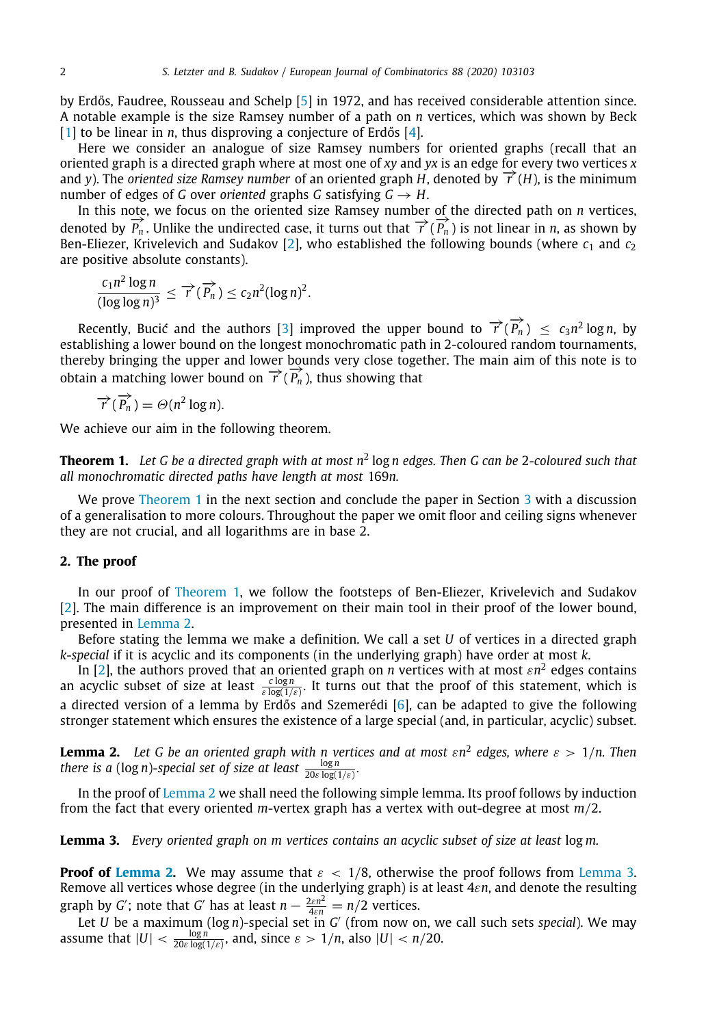by Erdős, Faudree, Rousseau and Schelp [\[5](#page-4-0)] in 1972, and has received considerable attention since. A notable example is the size Ramsey number of a path on *n* vertices, which was shown by Beck [[1\]](#page-4-1) to be linear in *n*, thus disproving a conjecture of Erdős [\[4\]](#page-4-2).

Here we consider an analogue of size Ramsey numbers for oriented graphs (recall that an oriented graph is a directed graph where at most one of *xy* and *yx* is an edge for every two vertices *x* and *y*). The *oriented size Ramsey number* of an oriented graph *H*, denoted by  $\overrightarrow{r}(H)$ , is the minimum number of edges of *G* over *oriented* graphs *G* satisfying  $G \rightarrow H$ .

In this note, we focus on the oriented size Ramsey number of the directed path on *n* vertices, denoted by  $\overrightarrow{P_n}$ . Unlike the undirected case, it turns out that  $\overrightarrow{P}$  ( $\overrightarrow{P_n}$ ) is not linear in *n*, as shown by Ben-Eliezer, Krivelevich and Sudakov [[2](#page-4-3)], who established the following bounds (where  $c_1$  and  $c_2$ are positive absolute constants).

$$
\frac{c_1 n^2 \log n}{(\log \log n)^3} \leq \overrightarrow{r}(\overrightarrow{P_n}) \leq c_2 n^2 (\log n)^2.
$$

Recently, Bucić and the authors [[3\]](#page-4-4) improved the upper bound to  $\overrightarrow{r}(\overrightarrow{P_n}) \leq c_3 n^2 \log n$ , by establishing a lower bound on the longest monochromatic path in 2-coloured random tournaments, thereby bringing the upper and lower bounds very close together. The main aim of this note is to obtain a matching lower bound on  $\overrightarrow{r}$  ( $\overrightarrow{P_n}$ ), thus showing that

$$
\overrightarrow{r}(\overrightarrow{P_n}) = \Theta(n^2 \log n).
$$

<span id="page-1-0"></span>We achieve our aim in the following theorem.

**Theorem 1.** *Let G be a directed graph with at most n*<sup>2</sup> log *n edges. Then G can be* 2*-coloured such that all monochromatic directed paths have length at most* 169*n.*

We prove [Theorem](#page-1-0) [1](#page-1-0) in the next section and conclude the paper in Section [3](#page-3-0) with a discussion of a generalisation to more colours. Throughout the paper we omit floor and ceiling signs whenever they are not crucial, and all logarithms are in base 2.

## **2. The proof**

In our proof of [Theorem](#page-1-0) [1](#page-1-0), we follow the footsteps of Ben-Eliezer, Krivelevich and Sudakov [[2\]](#page-4-3). The main difference is an improvement on their main tool in their proof of the lower bound, presented in [Lemma](#page-1-1) [2.](#page-1-1)

Before stating the lemma we make a definition. We call a set *U* of vertices in a directed graph *k*-*special* if it is acyclic and its components (in the underlying graph) have order at most *k*.

In [\[2\]](#page-4-3), the authors proved that an oriented graph on *n* vertices with at most  $\varepsilon n^2$  edges contains an acyclic subset of size at least  $\frac{c \log n}{\varepsilon \log(1/\varepsilon)}$ . It turns out that the proof of this statement, which is a directed version of a lemma by Erdős and Szemerédi [\[6](#page-4-5)], can be adapted to give the following stronger statement which ensures the existence of a large special (and, in particular, acyclic) subset.

<span id="page-1-1"></span>**Lemma 2.** *Let G be an oriented graph with n vertices and at most* ε*n* 2 *edges, where* ε > 1/*n. Then there is a* (log *n*)-special set of size at least  $\frac{\log n}{20\varepsilon \log(1/\varepsilon)}$ .

In the proof of [Lemma](#page-1-1) [2](#page-1-1) we shall need the following simple lemma. Its proof follows by induction from the fact that every oriented *m*-vertex graph has a vertex with out-degree at most *m*/2.

<span id="page-1-2"></span>**Lemma 3.** *Every oriented graph on m vertices contains an acyclic subset of size at least* log *m.*

**Proof of [Lemma](#page-1-2) [2.](#page-1-1)** We may assume that  $\varepsilon < 1/8$ , otherwise the proof follows from Lemma [3](#page-1-2). Remove all vertices whose degree (in the underlying graph) is at least 4ε*n*, and denote the resulting graph by *G*<sup>'</sup>; note that *G*<sup>'</sup> has at least  $n - \frac{2\varepsilon n^2}{4\varepsilon n} = n/2$  vertices.

Let *U* be a maximum (log *n*)-special set in *G* ′ (from now on, we call such sets *special*). We may assume that  $|U| < \frac{\log n}{20 \varepsilon \log(1/\varepsilon)}$ , and, since  $\varepsilon > 1/n$ , also  $|U| < n/20$ .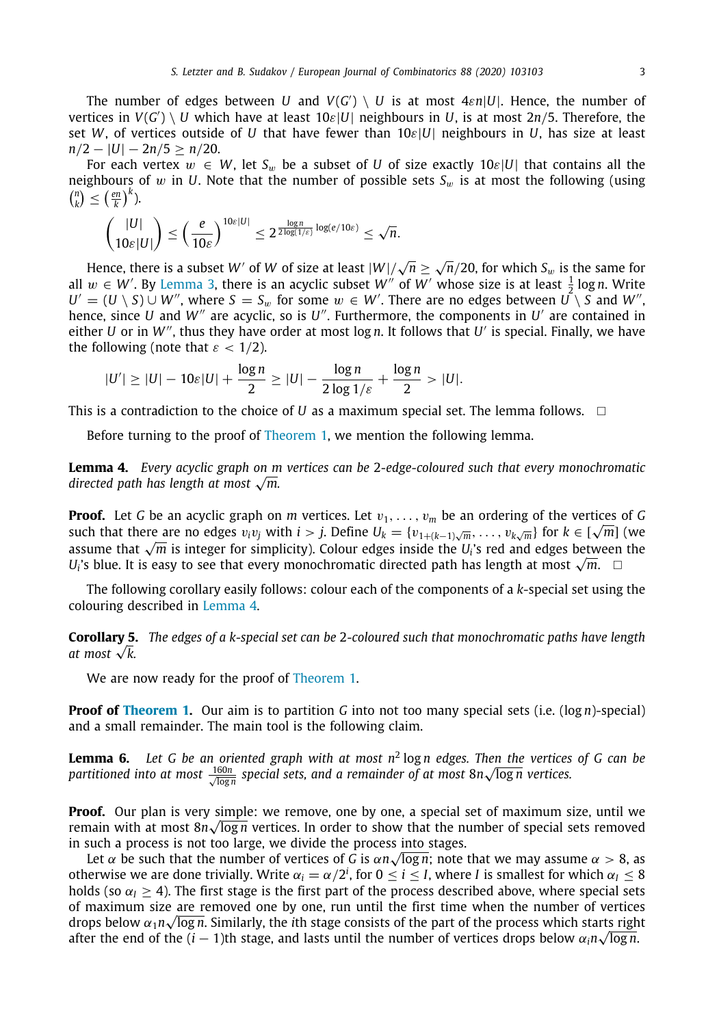The number of edges between *U* and  $V(G') \setminus U$  is at most  $4\varepsilon n|U|$ . Hence, the number of  $\mathsf{v}$ ertices in  $V(G') \setminus U$  which have at least  $10\varepsilon|U|$  neighbours in *U*, is at most 2n/5. Therefore, the set *W*, of vertices outside of *U* that have fewer than 10ε|*U*| neighbours in *U*, has size at least  $n/2 - |U| - 2n/5 \ge n/20$ .

For each vertex  $w \in W$ , let  $S_w$  be a subset of *U* of size exactly  $10\varepsilon|U|$  that contains all the neighbours of w in *U*. Note that the number of possible sets  $S_w$  is at most the following (using  $\binom{n}{k} \leq \left(\frac{en}{k}\right)^k$ .

$$
\binom{|U|}{10\varepsilon|U|} \leq \left(\frac{e}{10\varepsilon}\right)^{10\varepsilon|U|} \leq 2^{\frac{\log n}{2\log(1/\varepsilon)}\log(e/10\varepsilon)} \leq \sqrt{n}.
$$

Hence, there is a subset  $W'$  of  $W$  of size at least  $|W|/\sqrt{n} \ge \sqrt{n}$ *n*/20, for which *S*<sup>w</sup> is the same for all  $w \in W'$ . By [Lemma](#page-1-2) [3](#page-1-2), there is an acyclic subset  $W''$  of  $W'$  whose size is at least  $\frac{1}{2} \log n$ . Write  $U' = (U \setminus S) \cup W''$ , where  $S = S_w$  for some  $w \in W'$ . There are no edges between  $U \setminus S$  and  $W''$ , hence, since *U* and *W<sup>"</sup>* are acyclic, so is *U*<sup>"</sup>. Furthermore, the components in *U'* are contained in either *U* or in *W*′′, thus they have order at most log *n*. It follows that *U* ′ is special. Finally, we have the following (note that  $\varepsilon < 1/2$ ).

<span id="page-2-0"></span>
$$
|U'| \geq |U| - 10\varepsilon|U| + \frac{\log n}{2} \geq |U| - \frac{\log n}{2\log 1/\varepsilon} + \frac{\log n}{2} > |U|.
$$

This is a contradiction to the choice of *U* as a maximum special set. The lemma follows.  $\square$ 

Before turning to the proof of [Theorem](#page-1-0) [1](#page-1-0), we mention the following lemma.

**Lemma 4.** *Every acyclic graph on m vertices can be* 2*-edge-coloured such that every monochromatic* **Lemma 4.** Every acyclic graph on m<br>directed path has length at most √m.

**Proof.** Let *G* be an acyclic graph on *m* vertices. Let  $v_1, \ldots, v_m$  be an ordering of the vertices of *G* **Proof.** Let G be an acyclic graph on *m* vertices. Let  $v_1, \ldots, v_m$  be an ordering or the vertices of G such that there are no edges  $v_iv_j$  with  $i > j$ . Define  $U_k = \{v_{1+(k-1)\sqrt{m}}, \ldots, v_{k\sqrt{m}}\}$  for  $k \in [\sqrt{m}]$  (we such that there are no edges  $v_i v_j$  with  $i > j$ . Define  $v_k = \{v_{1+(k-1)\sqrt{m}}, \ldots, v_{k\sqrt{m}}\}$  for  $k \in \lfloor \sqrt{m} \rfloor$  (we assume that  $\sqrt{m}$  is integer for simplicity). Colour edges inside the *U<sub>i</sub>*'s red and edges between the assume that  $\sqrt{m}$  is integer for simplicity). Colour edges inside the  $U_i$ 's red and edges between<br> $U_i$ 's blue. It is easy to see that every monochromatic directed path has length at most  $\sqrt{m}$ . □

The following corollary easily follows: colour each of the components of a *k*-special set using the colouring described in [Lemma](#page-2-0) [4](#page-2-0).

<span id="page-2-2"></span>**Corollary 5.** *The edges of a k-special set can be* 2*-coloured such that monochromatic paths have length at most* <sup>√</sup> *k.*

<span id="page-2-1"></span>We are now ready for the proof of [Theorem](#page-1-0) [1](#page-1-0).

**Proof of [Theorem](#page-1-0) [1.](#page-1-0)** Our aim is to partition *G* into not too many special sets (i.e. (log *n*)-special) and a small remainder. The main tool is the following claim.

**Lemma 6.** Let G be an oriented graph with at most  $n^2 \log n$  edges. Then the vertices of G can be  $p$ artitioned into at most  $\frac{160n}{\sqrt{\log n}}$  special sets, and a remainder of at most 8 $n\sqrt{\log n}$  vertices.

**Proof.** Our plan is very simple: we remove, one by one, a special set of maximum size, until we remain with at most 8*n* $\sqrt{\log n}$  vertices. In order to show that the number of special sets removed in such a process is not too large, we divide the process into stages.

Let  $\alpha$  be such that the number of vertices of *G* is  $\alpha n\surd\log n;$  note that we may assume  $\alpha > 8,$  as otherwise we are done trivially. Write  $\alpha_i=\alpha/2^i$ , for  $0\leq i\leq I$ , where *I* is smallest for which  $\alpha_I\leq 8$ holds (so  $\alpha$ <sub>*I*</sub> > 4). The first stage is the first part of the process described above, where special sets of maximum size are removed one by one, run until the first time when the number of vertices drops below α<sub>1</sub>*n*√log *n*. Similarly, the *i*th stage consists of the part of the process which starts right after the end of the ( $i-1$ )th stage, and lasts until the number of vertices drops below  $\alpha_i n\sqrt{\log n}$ .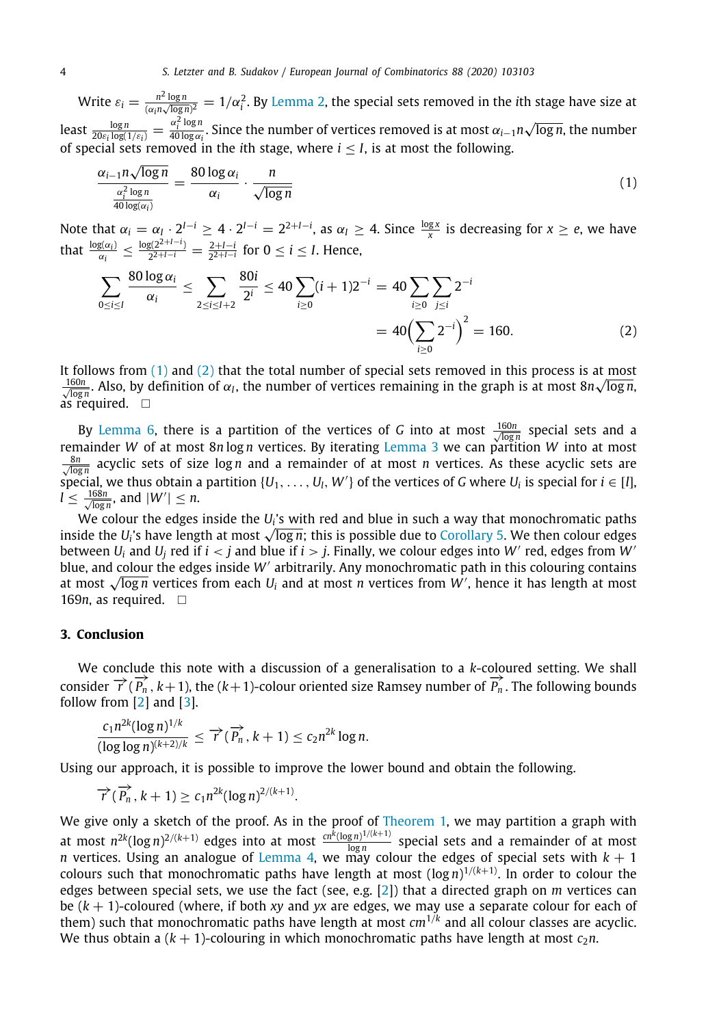Write  $\varepsilon_i = \frac{n^2 \log n}{(\alpha_i n \sqrt{\log n})^2} = 1/\alpha_i^2$  $\varepsilon_i = \frac{n^2 \log n}{(\alpha_i n \sqrt{\log n})^2} = 1/\alpha_i^2$  $\varepsilon_i = \frac{n^2 \log n}{(\alpha_i n \sqrt{\log n})^2} = 1/\alpha_i^2$ . By [Lemma](#page-1-1) 2, the special sets removed in the *i*th stage have size at least  $\frac{\log n}{20 \varepsilon_i \log(1/\varepsilon_i)} = \frac{\alpha_i^2 \log n}{40 \log \alpha_i}$  $\frac{\alpha_i}{40 \log \alpha_i}$ . Since the number of vertices removed is at most  $\alpha_{i-1}n$ √ log *n*, the number of special sets removed in the *i*th stage, where *i* ≤ *I*, is at most the following.

<span id="page-3-1"></span>
$$
\frac{\alpha_{i-1}n\sqrt{\log n}}{\frac{\alpha_i^2\log n}{40\log(\alpha_i)}} = \frac{80\log\alpha_i}{\alpha_i} \cdot \frac{n}{\sqrt{\log n}}
$$
\n(1)

Note that  $\alpha_i = \alpha_i \cdot 2^{I-i} \ge 4 \cdot 2^{I-i} = 2^{2+I-i}$ , as  $\alpha_I \ge 4$ . Since  $\frac{\log x}{x}$  is decreasing for  $x \ge e$ , we have that  $\frac{\log(\alpha_i)}{\alpha_i} \leq \frac{\log(2^{2+I-i})}{2^{2+I-i}}$  $\frac{2(2^{2+i-1})}{2^{2+i-i}} = \frac{2+i-i}{2^{2+i-i}}$  for  $0 \le i \le I$ . Hence,

$$
\sum_{0 \le i \le I} \frac{80 \log \alpha_i}{\alpha_i} \le \sum_{2 \le i \le I+2} \frac{80i}{2^i} \le 40 \sum_{i \ge 0} (i+1)2^{-i} = 40 \sum_{i \ge 0} \sum_{j \le i} 2^{-i}
$$
  
= 40  $\left(\sum_{i \ge 0} 2^{-i}\right)^2 = 160.$  (2)

It follows from  $(1)$  $(1)$  and  $(2)$  that the total number of special sets removed in this process is at most  $\frac{160n}{\sqrt{\log n}}$ . Also, by definition of  $\alpha_I$ , the number of vertices remaining in the graph is at most  $8n\sqrt{\log n}$ , as required.  $\square$ 

By [Lemma](#page-2-1) [6](#page-2-1), there is a partition of the vertices of *G* into at most  $\frac{160n}{\sqrt{100n}}$  special sets and a log *n* remainder *W* of at most 8*n* log *n* vertices. By iterating [Lemma](#page-1-2) [3](#page-1-2) we can partition *W* into at most  $\frac{8n}{\sqrt{\log n}}$  acyclic sets of size log *n* and a remainder of at most *n* vertices. As these acyclic sets are special, we thus obtain a partition  $\{U_1, \ldots, U_l, W'\}$  of the vertices of *G* where  $U_i$  is special for  $i \in [l]$ ,  $l \leq \frac{168n}{\sqrt{\log n}}$ , and  $|W'| \leq n$ .

We colour the edges inside the *U<sup>i</sup>* 's with red and blue in such a way that monochromatic paths we colour the edges inside the *U*<sub>i</sub>'s with red and blue in such a way that monochromatic paths<br>inside the *U*<sub>i</sub>'s have length at most √log *n*; this is possible due to [Corollary](#page-2-2) [5](#page-2-2). We then colour edges between  $U_i$  and  $U_j$  red if  $i < j$  and blue if  $i > j$ . Finally, we colour edges into  $W'$  red, edges from  $\overline{W'}$ blue, and colour the edges inside W' arbitrarily. Any monochromatic path in this colouring contains blue, and colour the edges inside *W`* arbitrarily. Any monochromatic path in this colouring contains<br>at most √log *n* vertices from each *U<sub>i</sub>* and at most *n* vertices from *W'*, hence it has length at most 169*n*, as required. □

### **3. Conclusion**

<span id="page-3-0"></span>We conclude this note with a discussion of a generalisation to a *k*-coloured setting. We shall  $\overrightarrow{r}$  ( $\overrightarrow{P_n}$ ,  $k+1$ ), the ( $k+1$ )-colour oriented size Ramsey number of  $\overrightarrow{P_n}$ . The following bounds consider  $\overrightarrow{r}$  ( $\overrightarrow{P_n}$ ,  $k+1$ ), the ( $k+1$ )-colour oriented size Ramsey number of  $\overrightarrow{P_n}$ . The follow follow from [\[2\]](#page-4-3) and [[3\]](#page-4-4).

$$
\frac{c_1 n^{2k} (\log n)^{1/k}}{(\log \log n)^{(k+2)/k}} \leq \overrightarrow{r}(\overrightarrow{P_n}, k+1) \leq c_2 n^{2k} \log n.
$$

Using our approach, it is possible to improve the lower bound and obtain the following.

.

$$
\overrightarrow{r}(\overrightarrow{P_n},k+1)\geq c_1n^{2k}(\log n)^{2/(k+1)}
$$

We give only a sketch of the proof. As in the proof of [Theorem](#page-1-0) [1](#page-1-0), we may partition a graph with at most  $n^{2k}(\log n)^{2/(k+1)}$  edges into at most  $\frac{cn^k(\log n)^{1/(k+1)}}{\log n}$  $\frac{g_n}{\log n}$  special sets and a remainder of at most *n* vertices. Using an analogue of [Lemma](#page-2-0) [4](#page-2-0), we may colour the edges of special sets with  $k + 1$ colours such that monochromatic paths have length at most (log *n*) <sup>1</sup>/(*k*+1). In order to colour the edges between special sets, we use the fact (see, e.g. [\[2\]](#page-4-3)) that a directed graph on *m* vertices can be (*k* + 1)-coloured (where, if both *xy* and *yx* are edges, we may use a separate colour for each of them) such that monochromatic paths have length at most *cm*<sup>1</sup>/*<sup>k</sup>* and all colour classes are acyclic. We thus obtain a  $(k + 1)$ -colouring in which monochromatic paths have length at most  $c_2n$ .